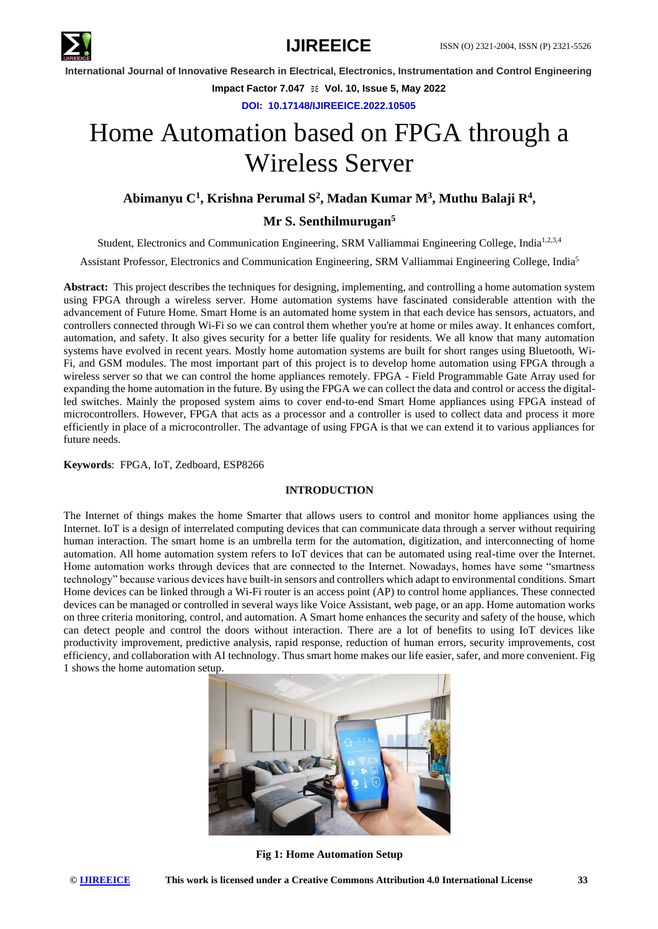

**Impact Factor 7.047**  $\cong$  **Vol. 10, Issue 5, May 2022** 

**DOI: 10.17148/IJIREEICE.2022.10505**

# Home Automation based on FPGA through a Wireless Server

# **Abimanyu C<sup>1</sup> , Krishna Perumal S<sup>2</sup> , Madan Kumar M<sup>3</sup> , Muthu Balaji R<sup>4</sup> ,**

**Mr S. Senthilmurugan<sup>5</sup>**

Student, Electronics and Communication Engineering, SRM Valliammai Engineering College, India<sup>1,2,3,4</sup>

Assistant Professor, Electronics and Communication Engineering, SRM Valliammai Engineering College, India<sup>5</sup>

**Abstract:** This project describes the techniques for designing, implementing, and controlling a home automation system using FPGA through a wireless server. Home automation systems have fascinated considerable attention with the advancement of Future Home. Smart Home is an automated home system in that each device has sensors, actuators, and controllers connected through Wi-Fi so we can control them whether you're at home or miles away. It enhances comfort, automation, and safety. It also gives security for a better life quality for residents. We all know that many automation systems have evolved in recent years. Mostly home automation systems are built for short ranges using Bluetooth, Wi-Fi, and GSM modules. The most important part of this project is to develop home automation using FPGA through a wireless server so that we can control the home appliances remotely. FPGA - Field Programmable Gate Array used for expanding the home automation in the future. By using the FPGA we can collect the data and control or access the digitalled switches. Mainly the proposed system aims to cover end-to-end Smart Home appliances using FPGA instead of microcontrollers. However, FPGA that acts as a processor and a controller is used to collect data and process it more efficiently in place of a microcontroller. The advantage of using FPGA is that we can extend it to various appliances for future needs.

### **Keywords**: FPGA, IoT, Zedboard, ESP8266

### **INTRODUCTION**

The Internet of things makes the home Smarter that allows users to control and monitor home appliances using the Internet. IoT is a design of interrelated computing devices that can communicate data through a server without requiring human interaction. The smart home is an umbrella term for the automation, digitization, and interconnecting of home automation. All home automation system refers to IoT devices that can be automated using real-time over the Internet. Home automation works through devices that are connected to the Internet. Nowadays, homes have some "smartness technology" because various devices have built-in sensors and controllers which adapt to environmental conditions. Smart Home devices can be linked through a Wi-Fi router is an access point (AP) to control home appliances. These connected devices can be managed or controlled in several ways like Voice Assistant, web page, or an app. Home automation works on three criteria monitoring, control, and automation. A Smart home enhances the security and safety of the house, which can detect people and control the doors without interaction. There are a lot of benefits to using IoT devices like productivity improvement, predictive analysis, rapid response, reduction of human errors, security improvements, cost efficiency, and collaboration with AI technology. Thus smart home makes our life easier, safer, and more convenient. Fig 1 shows the home automation setup.



**Fig 1: Home Automation Setup**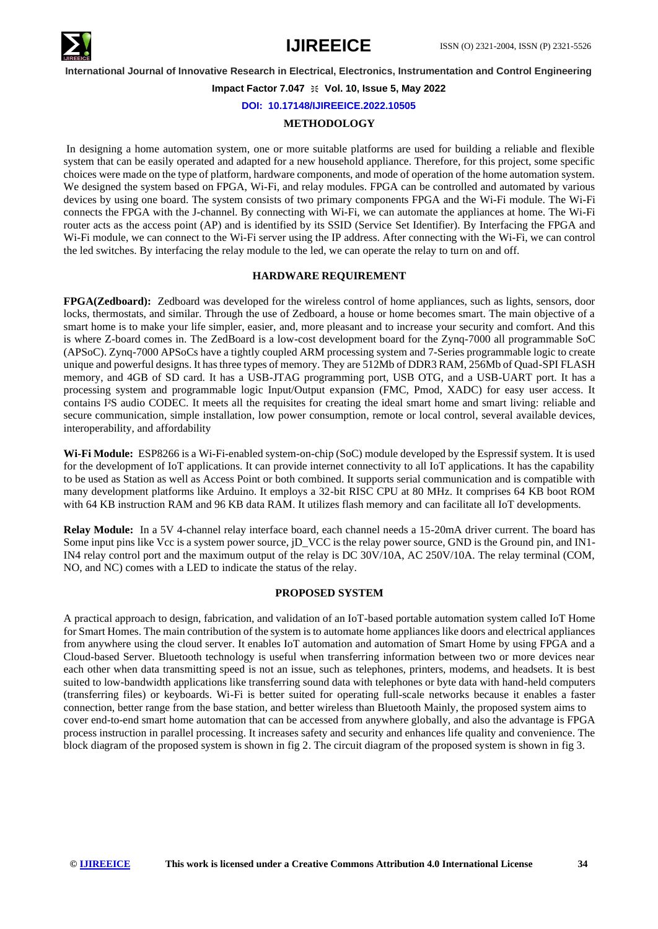

**Impact Factor 7.047**  $\cong$  **Vol. 10, Issue 5, May 2022** 

**DOI: 10.17148/IJIREEICE.2022.10505**

#### **METHODOLOGY**

In designing a home automation system, one or more suitable platforms are used for building a reliable and flexible system that can be easily operated and adapted for a new household appliance. Therefore, for this project, some specific choices were made on the type of platform, hardware components, and mode of operation of the home automation system. We designed the system based on FPGA, Wi-Fi, and relay modules. FPGA can be controlled and automated by various devices by using one board. The system consists of two primary components FPGA and the Wi-Fi module. The Wi-Fi connects the FPGA with the J-channel. By connecting with Wi-Fi, we can automate the appliances at home. The Wi-Fi router acts as the access point (AP) and is identified by its SSID (Service Set Identifier). By Interfacing the FPGA and Wi-Fi module, we can connect to the Wi-Fi server using the IP address. After connecting with the Wi-Fi, we can control the led switches. By interfacing the relay module to the led, we can operate the relay to turn on and off.

### **HARDWARE REQUIREMENT**

**FPGA(Zedboard):** Zedboard was developed for the wireless control of home appliances, such as lights, sensors, door locks, thermostats, and similar. Through the use of Zedboard, a house or home becomes smart. The main objective of a smart home is to make your life simpler, easier, and, more pleasant and to increase your security and comfort. And this is where Z-board comes in. The ZedBoard is a low-cost development board for the Zynq-7000 all programmable SoC (APSoC). Zynq-7000 APSoCs have a tightly coupled ARM processing system and 7-Series programmable logic to create unique and powerful designs. It has three types of memory. They are 512Mb of DDR3 RAM, 256Mb of Quad-SPI FLASH memory, and 4GB of SD card. It has a USB-JTAG programming port, USB OTG, and a USB-UART port. It has a processing system and programmable logic Input/Output expansion (FMC, Pmod, XADC) for easy user access. It contains I²S audio CODEC. It meets all the requisites for creating the ideal smart home and smart living: reliable and secure communication, simple installation, low power consumption, remote or local control, several available devices, interoperability, and affordability

**Wi-Fi Module:** ESP8266 is a Wi-Fi-enabled system-on-chip (SoC) module developed by the Espressif system. It is used for the development of IoT applications. It can provide internet connectivity to all IoT applications. It has the capability to be used as Station as well as Access Point or both combined. It supports serial communication and is compatible with many development platforms like Arduino. It employs a 32-bit RISC CPU at 80 MHz. It comprises 64 KB boot ROM with 64 KB instruction RAM and 96 KB data RAM. It utilizes flash memory and can facilitate all IoT developments.

**Relay Module:** In a 5V 4-channel relay interface board, each channel needs a 15-20mA driver current. The board has Some input pins like Vcc is a system power source, jD\_VCC is the relay power source, GND is the Ground pin, and IN1- IN4 relay control port and the maximum output of the relay is DC 30V/10A, AC 250V/10A. The relay terminal (COM, NO, and NC) comes with a LED to indicate the status of the relay.

#### **PROPOSED SYSTEM**

A practical approach to design, fabrication, and validation of an IoT-based portable automation system called IoT Home for Smart Homes. The main contribution of the system is to automate home appliances like doors and electrical appliances from anywhere using the cloud server. It enables IoT automation and automation of Smart Home by using FPGA and a Cloud-based Server. Bluetooth technology is useful when transferring information between two or more devices near each other when data transmitting speed is not an issue, such as telephones, printers, modems, and headsets. It is best suited to low-bandwidth applications like transferring sound data with telephones or byte data with hand-held computers (transferring files) or keyboards. Wi-Fi is better suited for operating full-scale networks because it enables a faster connection, better range from the base station, and better wireless than Bluetooth Mainly, the proposed system aims to cover end-to-end smart home automation that can be accessed from anywhere globally, and also the advantage is FPGA process instruction in parallel processing. It increases safety and security and enhances life quality and convenience. The block diagram of the proposed system is shown in fig 2. The circuit diagram of the proposed system is shown in fig 3.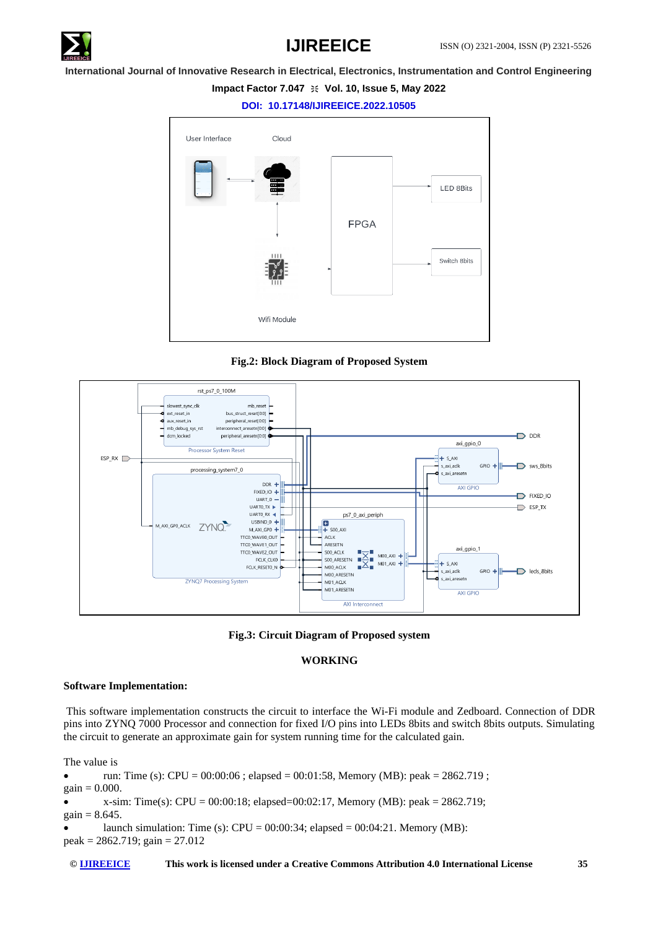

# **Impact Factor 7.047**  $\cong$  **Vol. 10, Issue 5, May 2022**

**DOI: 10.17148/IJIREEICE.2022.10505**



**Fig.2: Block Diagram of Proposed System**





# **WORKING**

# **Software Implementation:**

This software implementation constructs the circuit to interface the Wi-Fi module and Zedboard. Connection of DDR pins into ZYNQ 7000 Processor and connection for fixed I/O pins into LEDs 8bits and switch 8bits outputs. Simulating the circuit to generate an approximate gain for system running time for the calculated gain.

The value is

```
• run: Time (s): CPU = 00:00:06; elapsed = 00:01:58, Memory (MB): peak = 2862.719;
gain = 0.000.
```
•  $x\text{-sim: Time(s): CPU} = 00:00:18$ ; elapsed=00:02:17, Memory (MB): peak = 2862.719;  $gain = 8.645.$ 

launch simulation: Time (s):  $CPU = 00:00:34$ ; elapsed =  $00:04:21$ . Memory (MB):  $peak = 2862.719$ ;  $gain = 27.012$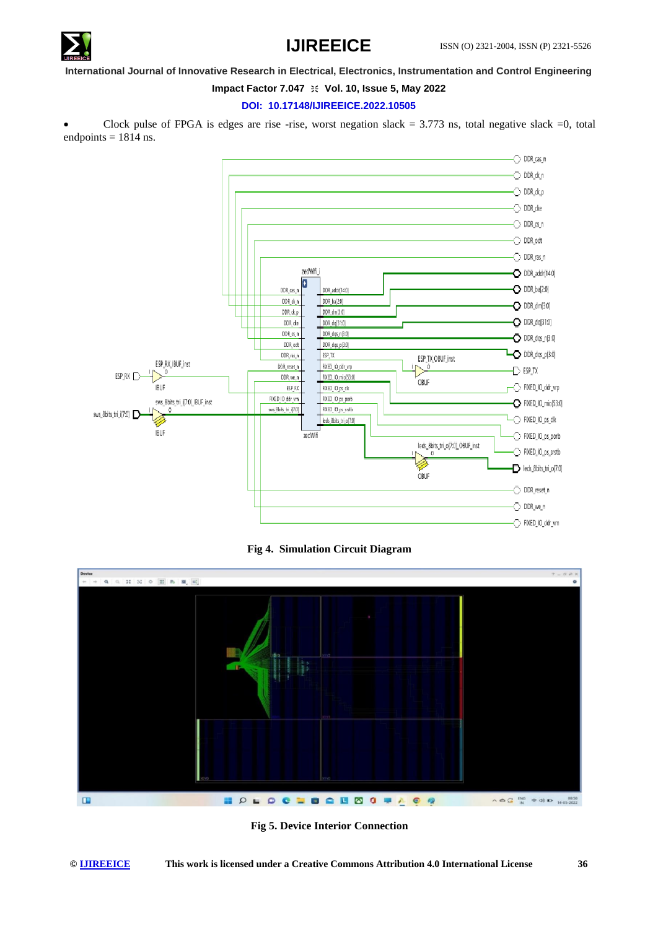

# **Impact Factor 7.047**  $\cong$  **Vol. 10, Issue 5, May 2022**

# **DOI: 10.17148/IJIREEICE.2022.10505**

Clock pulse of FPGA is edges are rise -rise, worst negation slack =  $3.773$  ns, total negative slack =0, total endpoints  $= 1814$  ns.



**Fig 4. Simulation Circuit Diagram**



**Fig 5. Device Interior Connection**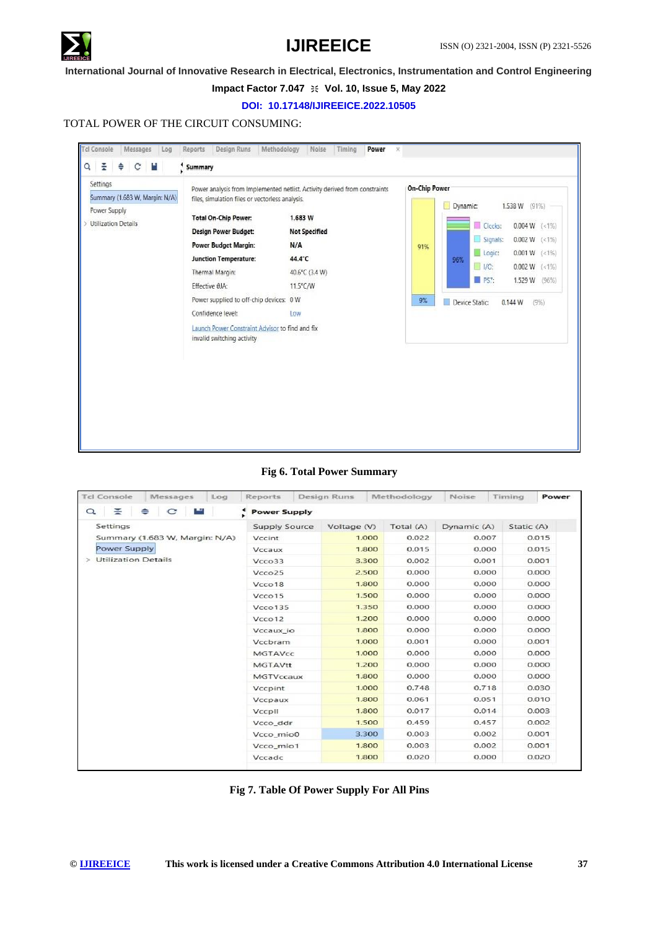

### **Impact Factor 7.047**  $\cong$  **Vol. 10, Issue 5, May 2022**

### **DOI: 10.17148/IJIREEICE.2022.10505**

# TOTAL POWER OF THE CIRCUIT CONSUMING:



## **Fig 6. Total Power Summary**

| <b>Tcl Console</b><br>Messages<br>Log | Reports              | <b>Design Runs</b> | Methodology | Noise       | Timing<br>Power |  |
|---------------------------------------|----------------------|--------------------|-------------|-------------|-----------------|--|
| ≚<br>$\alpha$<br>C<br>≐               | <b>Power Supply</b>  |                    |             |             |                 |  |
| Settings                              | <b>Supply Source</b> | Voltage (V)        | Total (A)   | Dynamic (A) | Static (A)      |  |
| Summary (1.683 W, Margin: N/A)        | Vccint               | 1.000              | 0.022       | 0.007       | 0.015           |  |
| Power Supply                          | Vccaux               | 1.800              | 0.015       | 0.000       | 0.015           |  |
| <b>Utilization Details</b><br>$\geq$  | Vcco33               | 3.300              | 0.002       | 0.001       | 0.001           |  |
|                                       | Vcco <sub>25</sub>   | 2.500              | 0.000       | 0.000       | 0.000           |  |
|                                       | Vcco18               | 1.800              | 0.000       | 0.000       | 0.000           |  |
|                                       | Vcco15               | 1.500              | 0.000       | 0.000       | 0.000           |  |
|                                       | V <sub>CCO</sub> 135 | 1.350              | 0.000       | 0.000       | 0.000           |  |
|                                       | Vcco12               | 1.200              | 0.000       | 0.000       | 0.000           |  |
|                                       | Vccaux_io            | 1.800              | 0.000       | 0.000       | 0.000           |  |
|                                       | Vccbram              | 1.000              | 0.001       |             | 0.001           |  |
|                                       | <b>MGTAVcc</b>       | 1.000              | 0.000       | 0.000       | 0.000           |  |
|                                       | <b>MGTAVtt</b>       | 1.200              | 0.000       | 0.000       | 0.000           |  |
|                                       | MGTVccaux            | 1.800              | 0.000       | 0.000       | 0.000           |  |
|                                       | Vccpint              | 1.000              | 0.748       | 0.718       | 0.030           |  |
|                                       | Vccpaux              | 1.800              | 0.061       | 0.051       | 0.010           |  |
|                                       | VccpII               | 1.800              | 0.017       | 0.014       | 0.003           |  |
|                                       | Vcco_ddr             | 1.500              | 0.459       | 0.457       | 0.002           |  |
|                                       | Vcco_mio0            | 3.300              | 0.003       | 0.002       | 0.001           |  |
|                                       | Vcco_mio1            | 1.800              | 0.003       | 0.002       | 0.001           |  |
|                                       | Vccadc               | 1.800              | 0.020       | 0.000       | 0.020           |  |

# **Fig 7. Table Of Power Supply For All Pins**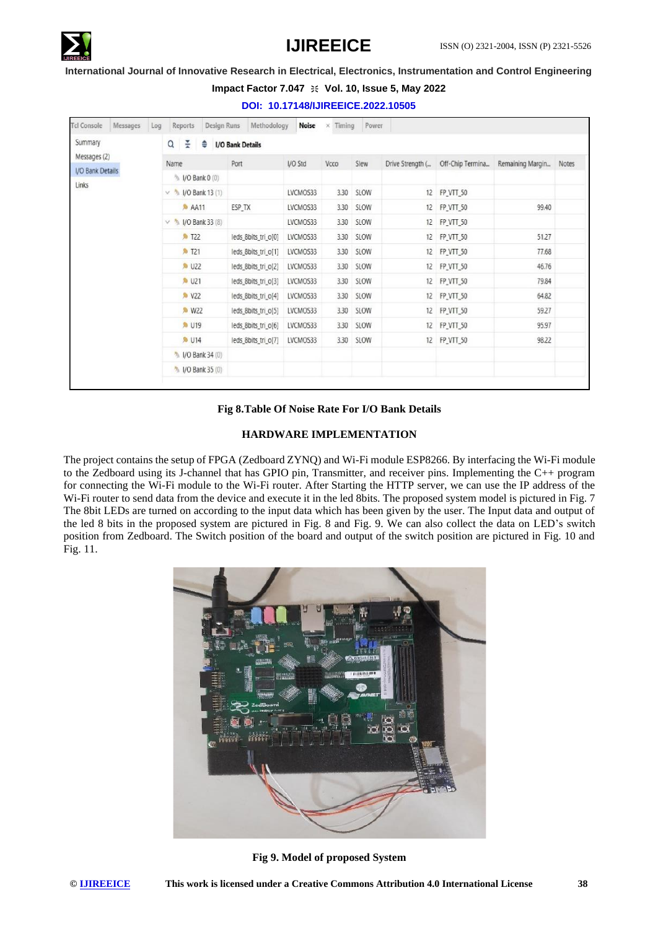

# **Impact Factor 7.047**  $\cong$  **Vol. 10, Issue 5, May 2022**

**DOI: 10.17148/IJIREEICE.2022.10505**

| Summary                                   |                          |                                        |          |      |           |                  |                  |                  |       |  |  |  |
|-------------------------------------------|--------------------------|----------------------------------------|----------|------|-----------|------------------|------------------|------------------|-------|--|--|--|
|                                           |                          | 줖<br>٠<br>Q<br><b>I/O Bank Details</b> |          |      |           |                  |                  |                  |       |  |  |  |
| Messages (2)<br>I/O Bank Details<br>Links | Name                     | Port                                   | I/O Std  | Vcco | Slew      | Drive Strength ( | Off-Chip Termina | Remaining Margin | Notes |  |  |  |
|                                           | % I/O Bank 0 (0)         |                                        |          |      |           |                  |                  |                  |       |  |  |  |
|                                           | $\vee$ % I/O Bank 13 (1) |                                        | LVCMOS33 |      | 3.30 SLOW |                  | 12 FP_VTT_50     |                  |       |  |  |  |
|                                           | <b>AA11</b>              | ESP TX                                 | LVCMOS33 |      | 3.30 SLOW |                  | 12 FP VTT 50     | 99.40            |       |  |  |  |
|                                           | $\vee$ % I/O Bank 33 (8) |                                        | LVCMOS33 |      | 3.30 SLOW |                  | 12 FP_VTT_50     |                  |       |  |  |  |
|                                           | <b>A</b> T22             | leds 8bits tri_o[0]                    | LVCMOS33 |      | 3.30 SLOW |                  | 12 FP_VTT_50     | 51.27            |       |  |  |  |
|                                           | <b>&amp; T21</b>         | leds_8bits_tri_o[1]                    | LVCMOS33 |      | 3.30 SLOW |                  | 12 FP_VTT_50     | 77.68            |       |  |  |  |
|                                           | <b>A</b> U22             | leds_8bits_tri_o[2]                    | LVCMOS33 |      | 3.30 SLOW |                  | 12 FP_VTT_50     | 46.76            |       |  |  |  |
|                                           | <b>6 U21</b>             | leds_8bits_tri_o[3]                    | LVCMOS33 | 3.30 | SLOW      |                  | 12 FP_VTT_50     | 79.84            |       |  |  |  |
|                                           | <b>A</b> V22             | leds_8bits_tri_o[4]                    | LVCMOS33 | 3.30 | SLOW      |                  | 12 FP_VTT_50     | 64.82            |       |  |  |  |
|                                           | <b>A</b> W22             | leds_8bits_tri_o[5]                    | LVCMOS33 | 3.30 | SLOW      |                  | 12 FP_VTT_50     | 59.27            |       |  |  |  |
|                                           | <b>A</b> U19             | leds_8bits_tri_o[6]                    | LVCMOS33 | 3.30 | SLOW      |                  | 12 FP_VTT_50     | 95.97            |       |  |  |  |
|                                           | <b>A</b> U14             | leds_8bits_tri_o[7]                    | LVCMOS33 |      | 3.30 SLOW |                  | 12 FP_VTT_50     | 98.22            |       |  |  |  |
|                                           | % I/O Bank 34 (0)        |                                        |          |      |           |                  |                  |                  |       |  |  |  |
|                                           | 1/0 Bank 35 (0)          |                                        |          |      |           |                  |                  |                  |       |  |  |  |

# **Fig 8.Table Of Noise Rate For I/O Bank Details**

# **HARDWARE IMPLEMENTATION**

The project contains the setup of FPGA (Zedboard ZYNQ) and Wi-Fi module ESP8266. By interfacing the Wi-Fi module to the Zedboard using its J-channel that has GPIO pin, Transmitter, and receiver pins. Implementing the C++ program for connecting the Wi-Fi module to the Wi-Fi router. After Starting the HTTP server, we can use the IP address of the Wi-Fi router to send data from the device and execute it in the led 8bits. The proposed system model is pictured in Fig. 7 The 8bit LEDs are turned on according to the input data which has been given by the user. The Input data and output of the led 8 bits in the proposed system are pictured in Fig. 8 and Fig. 9. We can also collect the data on LED's switch position from Zedboard. The Switch position of the board and output of the switch position are pictured in Fig. 10 and Fig. 11.



**Fig 9. Model of proposed System**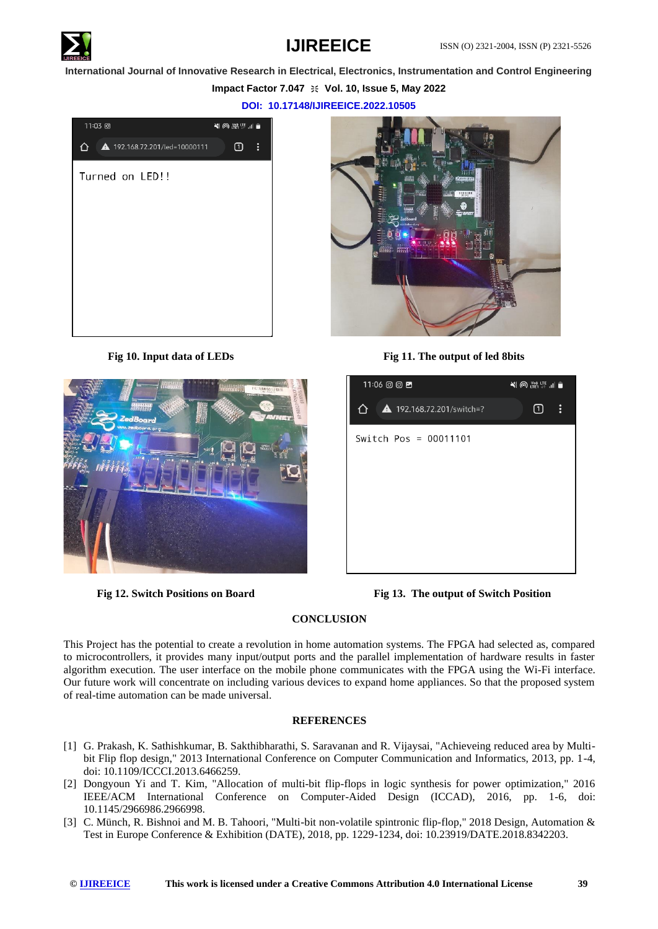

# **Impact Factor 7.047**  $\cong$  **Vol. 10, Issue 5, May 2022**

**DOI: 10.17148/IJIREEICE.2022.10505**







**Fig 10. Input data of LEDs Fig 11. The output of led 8bits**



**Fig 12. Switch Positions on Board Fig 13. The output of Switch Position**

# **CONCLUSION**

This Project has the potential to create a revolution in home automation systems. The FPGA had selected as, compared to microcontrollers, it provides many input/output ports and the parallel implementation of hardware results in faster algorithm execution. The user interface on the mobile phone communicates with the FPGA using the Wi-Fi interface. Our future work will concentrate on including various devices to expand home appliances. So that the proposed system of real-time automation can be made universal.

# **REFERENCES**

- [1] G. Prakash, K. Sathishkumar, B. Sakthibharathi, S. Saravanan and R. Vijaysai, "Achieveing reduced area by Multibit Flip flop design," 2013 International Conference on Computer Communication and Informatics, 2013, pp. 1-4, doi: 10.1109/ICCCI.2013.6466259.
- [2] Dongyoun Yi and T. Kim, "Allocation of multi-bit flip-flops in logic synthesis for power optimization," 2016 IEEE/ACM International Conference on Computer-Aided Design (ICCAD), 2016, pp. 1-6, doi: 10.1145/2966986.2966998.
- [3] C. Münch, R. Bishnoi and M. B. Tahoori, "Multi-bit non-volatile spintronic flip-flop," 2018 Design, Automation & Test in Europe Conference & Exhibition (DATE), 2018, pp. 1229-1234, doi: 10.23919/DATE.2018.8342203.